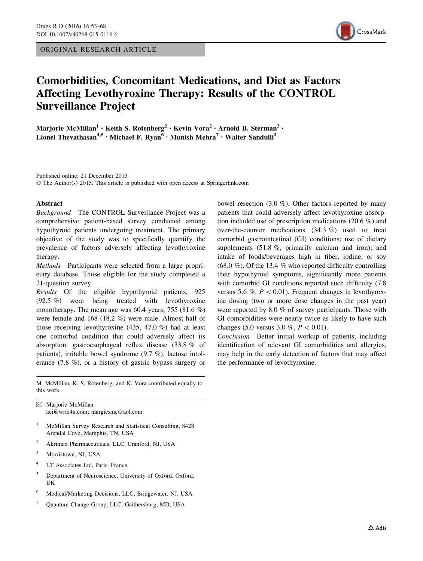ORIGINAL RESEARCH ARTICLE



# Comorbidities, Concomitant Medications, and Diet as Factors Affecting Levothyroxine Therapy: Results of the CONTROL Surveillance Project

Marjorie McMillan<sup>1</sup> • Keith S. Rotenberg<sup>2</sup> • Kevin Vora<sup>2</sup> • Arnold B. Sterman<sup>3</sup> • Lionel Thevathasan<sup>4,5</sup> • Michael F. Ryan<sup>6</sup> • Munish Mehra<sup>7</sup> • Walter Sandulli<sup>2</sup>

Published online: 21 December 2015 © The Author(s) 2015. This article is published with open access at Springerlink.com

#### Abstract

Background The CONTROL Surveillance Project was a comprehensive patient-based survey conducted among hypothyroid patients undergoing treatment. The primary objective of the study was to specifically quantify the prevalence of factors adversely affecting levothyroxine therapy.

Methods Participants were selected from a large proprietary database. Those eligible for the study completed a 21-question survey.

Results Of the eligible hypothyroid patients, 925 (92.5 %) were being treated with levothyroxine monotherapy. The mean age was 60.4 years; 755 (81.6 %) were female and 168 (18.2 %) were male. Almost half of those receiving levothyroxine (435, 47.0 %) had at least one comorbid condition that could adversely affect its absorption: gastroesophageal reflux disease (33.8 % of patients), irritable bowel syndrome (9.7 %), lactose intolerance (7.8 %), or a history of gastric bypass surgery or

M. McMillan, K. S. Rotenberg, and K. Vora contributed equally to this work.

 $\boxtimes$  Marjorie McMillan aci@wrte4u.com; margiesmc@aol.com

- <sup>1</sup> McMillan Survey Research and Statistical Consulting, 8428 Arendal Cove, Memphis, TN, USA
- <sup>2</sup> Akrimax Pharmaceuticals, LLC, Cranford, NJ, USA
- <sup>3</sup> Morristown, NJ, USA
- <sup>4</sup> LT Associates Ltd, Paris, France
- <sup>5</sup> Department of Neuroscience, University of Oxford, Oxford, UK
- <sup>6</sup> Medical/Marketing Decisions, LLC, Bridgewater, NJ, USA
- <sup>7</sup> Quantum Change Group, LLC, Gaithersburg, MD, USA

bowel resection (3.0 %). Other factors reported by many patients that could adversely affect levothyroxine absorption included use of prescription medications (20.6 %) and over-the-counter medications (34.3 %) used to treat comorbid gastrointestinal (GI) conditions; use of dietary supplements (51.8 %, primarily calcium and iron); and intake of foods/beverages high in fiber, iodine, or soy  $(68.0\%)$ . Of the 13.4 % who reported difficulty controlling their hypothyroid symptoms, significantly more patients with comorbid GI conditions reported such difficulty (7.8 versus 5.6 %,  $P \lt 0.01$ ). Frequent changes in levothyroxine dosing (two or more dose changes in the past year) were reported by 8.0 % of survey participants. Those with GI comorbidities were nearly twice as likely to have such changes (5.0 versus 3.0 %,  $P < 0.01$ ).

Conclusion Better initial workup of patients, including identification of relevant GI comorbidities and allergies, may help in the early detection of factors that may affect the performance of levothyroxine.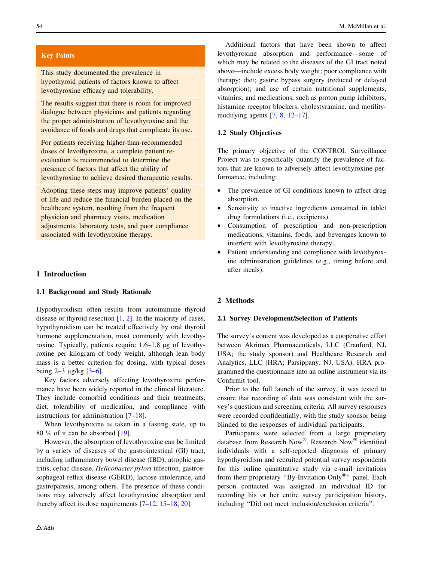# Key Points

This study documented the prevalence in hypothyroid patients of factors known to affect levothyroxine efficacy and tolerability.

The results suggest that there is room for improved dialogue between physicians and patients regarding the proper administration of levothyroxine and the avoidance of foods and drugs that complicate its use.

For patients receiving higher-than-recommended doses of levothyroxine, a complete patient reevaluation is recommended to determine the presence of factors that affect the ability of levothyroxine to achieve desired therapeutic results.

Adopting these steps may improve patients' quality of life and reduce the financial burden placed on the healthcare system, resulting from the frequent physician and pharmacy visits, medication adjustments, laboratory tests, and poor compliance associated with levothyroxine therapy.

### 1 Introduction

### 1.1 Background and Study Rationale

Hypothyroidism often results from autoimmune thyroid disease or thyroid resection [[1,](#page-14-0) [2\]](#page-14-0). In the majority of cases, hypothyroidism can be treated effectively by oral thyroid hormone supplementation, most commonly with levothyroxine. Typically, patients require 1.6–1.8 µg of levothyroxine per kilogram of body weight, although lean body mass is a better criterion for dosing, with typical doses being  $2-3 \mu g/kg$  [ $3-6$ ].

Key factors adversely affecting levothyroxine performance have been widely reported in the clinical literature. They include comorbid conditions and their treatments, diet, tolerability of medication, and compliance with instructions for administration [[7–18\]](#page-14-0).

When levothyroxine is taken in a fasting state, up to 80 % of it can be absorbed [\[19](#page-14-0)].

However, the absorption of levothyroxine can be limited by a variety of diseases of the gastrointestinal (GI) tract, including inflammatory bowel disease (IBD), atrophic gastritis, celiac disease, Helicobacter pylori infection, gastroesophageal reflux disease (GERD), lactose intolerance, and gastroparesis, among others. The presence of these conditions may adversely affect levothyroxine absorption and thereby affect its dose requirements [[7–12,](#page-14-0) [15–18,](#page-14-0) [20\]](#page-14-0).

Additional factors that have been shown to affect levothyroxine absorption and performance—some of which may be related to the diseases of the GI tract noted above—include excess body weight; poor compliance with therapy; diet; gastric bypass surgery (reduced or delayed absorption); and use of certain nutritional supplements, vitamins, and medications, such as proton pump inhibitors, histamine receptor blockers, cholestyramine, and motilitymodifying agents [\[7](#page-14-0), [8](#page-14-0), [12–17\]](#page-14-0).

#### 1.2 Study Objectives

The primary objective of the CONTROL Surveillance Project was to specifically quantify the prevalence of factors that are known to adversely affect levothyroxine performance, including:

- The prevalence of GI conditions known to affect drug absorption.
- Sensitivity to inactive ingredients contained in tablet drug formulations (i.e., excipients).
- Consumption of prescription and non-prescription medications, vitamins, foods, and beverages known to interfere with levothyroxine therapy.
- Patient understanding and compliance with levothyroxine administration guidelines (e.g., timing before and after meals).

#### 2 Methods

### 2.1 Survey Development/Selection of Patients

The survey's content was developed as a cooperative effort between Akrimax Pharmaceuticals, LLC (Cranford, NJ, USA; the study sponsor) and Healthcare Research and Analytics, LLC (HRA; Parsippany, NJ, USA). HRA programmed the questionnaire into an online instrument via its Confirmit tool.

Prior to the full launch of the survey, it was tested to ensure that recording of data was consistent with the survey's questions and screening criteria. All survey responses were recorded confidentially, with the study sponsor being blinded to the responses of individual participants.

Participants were selected from a large proprietary database from Research Now<sup>®</sup>. Research Now<sup>®</sup> identified individuals with a self-reported diagnosis of primary hypothyroidism and recruited potential survey respondents for this online quantitative study via e-mail invitations from their proprietary "By-Invitation-Only<sup>®</sup>" panel. Each person contacted was assigned an individual ID for recording his or her entire survey participation history, including ''Did not meet inclusion/exclusion criteria''.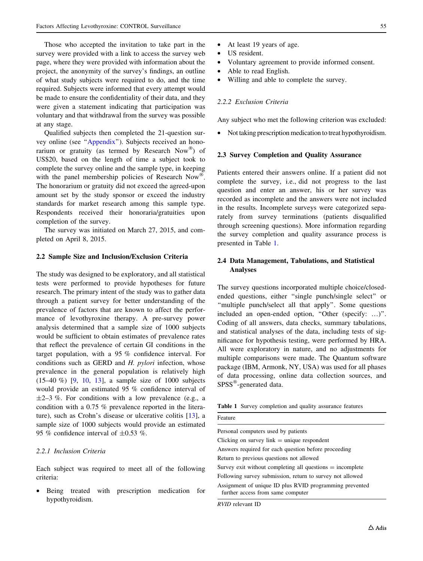Those who accepted the invitation to take part in the survey were provided with a link to access the survey web page, where they were provided with information about the project, the anonymity of the survey's findings, an outline of what study subjects were required to do, and the time required. Subjects were informed that every attempt would be made to ensure the confidentiality of their data, and they were given a statement indicating that participation was voluntary and that withdrawal from the survey was possible at any stage.

Qualified subjects then completed the 21-question survey online (see '['Appendix'](#page-9-0)'). Subjects received an honorarium or gratuity (as termed by Research Now $^{\circledR}$ ) of US\$20, based on the length of time a subject took to complete the survey online and the sample type, in keeping with the panel membership policies of Research Now<sup>®</sup>. The honorarium or gratuity did not exceed the agreed-upon amount set by the study sponsor or exceed the industry standards for market research among this sample type. Respondents received their honoraria/gratuities upon completion of the survey.

The survey was initiated on March 27, 2015, and completed on April 8, 2015.

### 2.2 Sample Size and Inclusion/Exclusion Criteria

The study was designed to be exploratory, and all statistical tests were performed to provide hypotheses for future research. The primary intent of the study was to gather data through a patient survey for better understanding of the prevalence of factors that are known to affect the performance of levothyroxine therapy. A pre-survey power analysis determined that a sample size of 1000 subjects would be sufficient to obtain estimates of prevalence rates that reflect the prevalence of certain GI conditions in the target population, with a 95 % confidence interval. For conditions such as GERD and H. pylori infection, whose prevalence in the general population is relatively high (15–40 %) [[9,](#page-14-0) [10](#page-14-0), [13](#page-14-0)], a sample size of 1000 subjects would provide an estimated 95 % confidence interval of  $\pm$ 2–3 %. For conditions with a low prevalence (e.g., a condition with a 0.75 % prevalence reported in the literature), such as Crohn's disease or ulcerative colitis [\[13](#page-14-0)], a sample size of 1000 subjects would provide an estimated 95 % confidence interval of  $\pm 0.53$  %.

### 2.2.1 Inclusion Criteria

Each subject was required to meet all of the following criteria:

• Being treated with prescription medication for hypothyroidism.

- At least 19 years of age.
- US resident.
- Voluntary agreement to provide informed consent.
- Able to read English.
- Willing and able to complete the survey.

### 2.2.2 Exclusion Criteria

Any subject who met the following criterion was excluded:

• Not taking prescription medication to treat hypothyroidism.

### 2.3 Survey Completion and Quality Assurance

Patients entered their answers online. If a patient did not complete the survey, i.e., did not progress to the last question and enter an answer, his or her survey was recorded as incomplete and the answers were not included in the results. Incomplete surveys were categorized separately from survey terminations (patients disqualified through screening questions). More information regarding the survey completion and quality assurance process is presented in Table 1.

# 2.4 Data Management, Tabulations, and Statistical Analyses

The survey questions incorporated multiple choice/closedended questions, either ''single punch/single select'' or ''multiple punch/select all that apply''. Some questions included an open-ended option, "Other (specify: ...)". Coding of all answers, data checks, summary tabulations, and statistical analyses of the data, including tests of significance for hypothesis testing, were performed by HRA. All were exploratory in nature, and no adjustments for multiple comparisons were made. The Quantum software package (IBM, Armonk, NY, USA) was used for all phases of data processing, online data collection sources, and SPSS<sup>®</sup>-generated data.

| Table 1 Survey completion and quality assurance features |  |
|----------------------------------------------------------|--|
|----------------------------------------------------------|--|

| Feature                                                                                      |
|----------------------------------------------------------------------------------------------|
| Personal computers used by patients                                                          |
| Clicking on survey link $=$ unique respondent                                                |
| Answers required for each question before proceeding                                         |
| Return to previous questions not allowed                                                     |
| Survey exit without completing all questions $=$ incomplete                                  |
| Following survey submission, return to survey not allowed                                    |
| Assignment of unique ID plus RVID programming prevented<br>further access from same computer |
|                                                                                              |

RVID relevant ID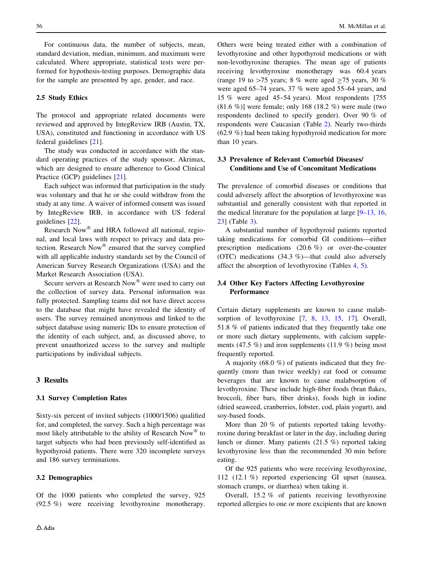For continuous data, the number of subjects, mean, standard deviation, median, minimum, and maximum were calculated. Where appropriate, statistical tests were performed for hypothesis-testing purposes. Demographic data for the sample are presented by age, gender, and race.

### 2.5 Study Ethics

The protocol and appropriate related documents were reviewed and approved by IntegReview IRB (Austin, TX, USA), constituted and functioning in accordance with US federal guidelines [\[21](#page-14-0)].

The study was conducted in accordance with the standard operating practices of the study sponsor, Akrimax, which are designed to ensure adherence to Good Clinical Practice (GCP) guidelines [[21\]](#page-14-0).

Each subject was informed that participation in the study was voluntary and that he or she could withdraw from the study at any time. A waiver of informed consent was issued by IntegReview IRB, in accordance with US federal guidelines [[22\]](#page-14-0).

Research Now<sup>®</sup> and HRA followed all national, regional, and local laws with respect to privacy and data protection. Research  $Now^{\circledR}$  ensured that the survey complied with all applicable industry standards set by the Council of American Survey Research Organizations (USA) and the Market Research Association (USA).

Secure servers at Research Now<sup>®</sup> were used to carry out the collection of survey data. Personal information was fully protected. Sampling teams did not have direct access to the database that might have revealed the identity of users. The survey remained anonymous and linked to the subject database using numeric IDs to ensure protection of the identity of each subject, and, as discussed above, to prevent unauthorized access to the survey and multiple participations by individual subjects.

# 3 Results

#### 3.1 Survey Completion Rates

Sixty-six percent of invited subjects (1000/1506) qualified for, and completed, the survey. Such a high percentage was most likely attributable to the ability of Research Now<sup>®</sup> to target subjects who had been previously self-identified as hypothyroid patients. There were 320 incomplete surveys and 186 survey terminations.

### 3.2 Demographics

Others were being treated either with a combination of levothyroxine and other hypothyroid medications or with non-levothyroxine therapies. The mean age of patients receiving levothyroxine monotherapy was 60.4 years (range 19 to  $>75$  years; 8 % were aged  $>75$  years, 30 % were aged 65–74 years, 37 % were aged 55–64 years, and 15 % were aged 45–54 years). Most respondents [755 (81.6 %)] were female; only 168 (18.2 %) were male (two respondents declined to specify gender). Over 90 % of respondents were Caucasian (Table [2\)](#page-4-0). Nearly two-thirds (62.9 %) had been taking hypothyroid medication for more than 10 years.

# 3.3 Prevalence of Relevant Comorbid Diseases/ Conditions and Use of Concomitant Medications

The prevalence of comorbid diseases or conditions that could adversely affect the absorption of levothyroxine was substantial and generally consistent with that reported in the medical literature for the population at large  $[9-13, 16,$  $[9-13, 16,$ [23](#page-14-0)] (Table [3](#page-4-0)).

A substantial number of hypothyroid patients reported taking medications for comorbid GI conditions—either prescription medications (20.6 %) or over-the-counter (OTC) medications (34.3 %)—that could also adversely affect the absorption of levothyroxine (Tables [4](#page-4-0), [5](#page-5-0)).

# 3.4 Other Key Factors Affecting Levothyroxine **Performance**

Certain dietary supplements are known to cause malab-sorption of levothyroxine [[7,](#page-14-0) [8,](#page-14-0) [13](#page-14-0), [15,](#page-14-0) [17\]](#page-14-0). Overall, 51.8 % of patients indicated that they frequently take one or more such dietary supplements, with calcium supplements (47.5  $\%$ ) and iron supplements (11.9  $\%$ ) being most frequently reported.

A majority (68.0 %) of patients indicated that they frequently (more than twice weekly) eat food or consume beverages that are known to cause malabsorption of levothyroxine. These include high-fiber foods (bran flakes, broccoli, fiber bars, fiber drinks), foods high in iodine (dried seaweed, cranberries, lobster, cod, plain yogurt), and soy-based foods.

More than 20 % of patients reported taking levothyroxine during breakfast or later in the day, including during lunch or dinner. Many patients (21.5 %) reported taking levothyroxine less than the recommended 30 min before eating.

Of the 925 patients who were receiving levothyroxine, 112 (12.1 %) reported experiencing GI upset (nausea, stomach cramps, or diarrhea) when taking it.

Overall, 15.2 % of patients receiving levothyroxine reported allergies to one or more excipients that are known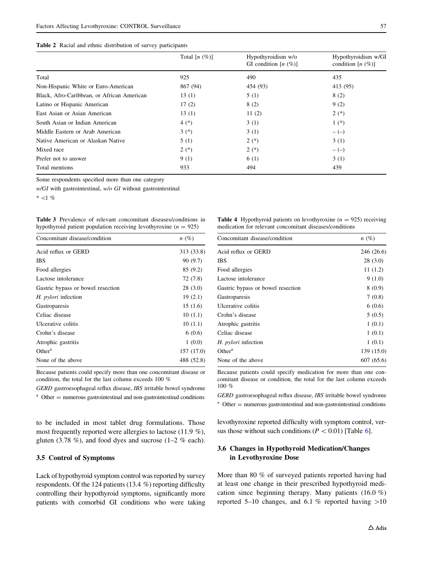<span id="page-4-0"></span>

|  |  |  |  | Table 2 Racial and ethnic distribution of survey participants |  |  |  |
|--|--|--|--|---------------------------------------------------------------|--|--|--|
|--|--|--|--|---------------------------------------------------------------|--|--|--|

|                                            | Total $[n \ (\%)]$ | Hypothyroidism w/o<br>GI condition $[n \ (\%)]$ | Hypothyroidism w/GI<br>condition $[n (\%)]$ |
|--------------------------------------------|--------------------|-------------------------------------------------|---------------------------------------------|
| Total                                      | 925                | 490                                             | 435                                         |
| Non-Hispanic White or Euro-American        | 867 (94)           | 454 (93)                                        | 413 (95)                                    |
| Black, Afro-Caribbean, or African American | 13(1)              | 5(1)                                            | 8(2)                                        |
| Latino or Hispanic American                | 17(2)              | 8(2)                                            | 9(2)                                        |
| East Asian or Asian American               | 13(1)              | 11(2)                                           | $2(*)$                                      |
| South Asian or Indian American             | $4(*)$             | 3(1)                                            | $1(*)$                                      |
| Middle Eastern or Arab American            | $3(*)$             | 3(1)                                            | $-(-)$                                      |
| Native American or Alaskan Native          | 5(1)               | $2(*)$                                          | 3(1)                                        |
| Mixed race                                 | $2(*)$             | $2(*)$                                          | $-(-)$                                      |
| Prefer not to answer                       | 9(1)               | 6 (1)                                           | 3(1)                                        |
| Total mentions                             | 933                | 494                                             | 439                                         |

Some respondents specified more than one category

w/GI with gastrointestinal, w/o GI without gastrointestinal

 $*$  <1 %

Table 3 Prevalence of relevant concomitant diseases/conditions in hypothyroid patient population receiving levothyroxine ( $n = 925$ )

| Concomitant disease/condition     | $n(\%)$    |
|-----------------------------------|------------|
| Acid reflux or GERD               | 313 (33.8) |
| <b>IBS</b>                        | 90 (9.7)   |
| Food allergies                    | 85 (9.2)   |
| Lactose intolerance               | 72 (7.8)   |
| Gastric bypass or bowel resection | 28(3.0)    |
| H. <i>pylori</i> infection        | 19(2.1)    |
| Gastroparesis                     | 15(1.6)    |
| Celiac disease                    | 10(1.1)    |
| Ulcerative colitis                | 10(1.1)    |
| Crohn's disease                   | 6(0.6)     |
| Atrophic gastritis                | 1(0.0)     |
| Other <sup>a</sup>                | 157 (17.0) |
| None of the above                 | 488 (52.8) |
|                                   |            |

Because patients could specify more than one concomitant disease or condition, the total for the last column exceeds 100 %

GERD gastroesophageal reflux disease, IBS irritable bowel syndrome

 $a$  Other = numerous gastrointestinal and non-gastrointestinal conditions

to be included in most tablet drug formulations. Those most frequently reported were allergies to lactose (11.9 %), gluten (3.78 %), and food dyes and sucrose (1–2 % each).

### 3.5 Control of Symptoms

Lack of hypothyroid symptom control was reported by survey respondents. Of the 124 patients (13.4 %) reporting difficulty controlling their hypothyroid symptoms, significantly more patients with comorbid GI conditions who were taking

**Table 4** Hypothyroid patients on levothyroxine  $(n = 925)$  receiving medication for relevant concomitant diseases/conditions

| Concomitant disease/condition     | $n(\%)$    |
|-----------------------------------|------------|
| Acid reflux or GERD               | 246 (26.6) |
| IBS                               | 28(3.0)    |
| Food allergies                    | 11(1.2)    |
| Lactose intolerance               | 9(1.0)     |
| Gastric bypass or bowel resection | 8(0.9)     |
| Gastroparesis                     | 7(0.8)     |
| Ulcerative colitis                | 6(0.6)     |
| Crohn's disease                   | 5(0.5)     |
| Atrophic gastritis                | 1(0.1)     |
| Celiac disease                    | 1(0.1)     |
| H. <i>pylori</i> infection        | 1(0.1)     |
| Other <sup>a</sup>                | 139 (15.0) |
| None of the above                 | 607 (65.6) |

Because patients could specify medication for more than one concomitant disease or condition, the total for the last column exceeds 100 %

GERD gastroesophageal reflux disease, IBS irritable bowel syndrome  $a$  Other  $=$  numerous gastrointestinal and non-gastrointestinal conditions

levothyroxine reported difficulty with symptom control, versus those without such conditions ( $P \lt 0.01$ ) [Table [6](#page-5-0)].

# 3.6 Changes in Hypothyroid Medication/Changes in Levothyroxine Dose

More than 80 % of surveyed patients reported having had at least one change in their prescribed hypothyroid medication since beginning therapy. Many patients (16.0 %) reported 5–10 changes, and 6.1 % reported having  $>10$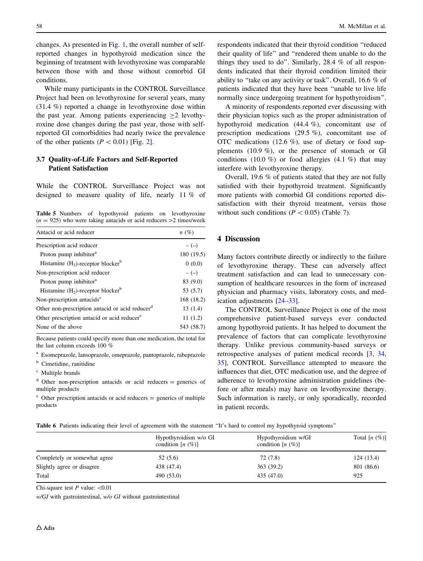<span id="page-5-0"></span>changes. As presented in Fig. [1](#page-6-0), the overall number of selfreported changes in hypothyroid medication since the beginning of treatment with levothyroxine was comparable between those with and those without comorbid GI conditions.

While many participants in the CONTROL Surveillance Project had been on levothyroxine for several years, many (31.4 %) reported a change in levothyroxine dose within the past year. Among patients experiencing  $\geq 2$  levothyroxine dose changes during the past year, those with selfreported GI comorbidities had nearly twice the prevalence of the other patients  $(P < 0.01)$  [Fig. [2\]](#page-6-0).

# 3.7 Quality-of-Life Factors and Self-Reported Patient Satisfaction

While the CONTROL Surveillance Project was not designed to measure quality of life, nearly 11 % of

Table 5 Numbers of hypothyroid patients on levothyroxine  $(n = 925)$  who were taking antacids or acid reducers  $>2$  times/week

| Antacid or acid reducer                                     | $n(\%)$    |
|-------------------------------------------------------------|------------|
| Prescription acid reducer                                   | $-(-)$     |
| Proton pump inhibitor <sup>a</sup>                          | 180 (19.5) |
| Histamine $(H_2)$ -receptor blocker <sup>b</sup>            | 0(0.0)     |
| Non-prescription acid reducer                               | $-(-)$     |
| Proton pump inhibitor <sup>a</sup>                          | 83 (9.0)   |
| Histamine $(H_2)$ -receptor blocker <sup>b</sup>            | 53 (5.7)   |
| Non-prescription antacids <sup>c</sup>                      | 168 (18.2) |
| Other non-prescription antacid or acid reducer <sup>d</sup> | 13(1.4)    |
| Other prescription antacid or acid reducer <sup>e</sup>     | 11(1.2)    |
| None of the above                                           | 543 (58.7) |

Because patients could specify more than one medication, the total for the last column exceeds 100 %

<sup>a</sup> Esomeprazole, lansoprazole, omeprazole, pantoprazole, rabeprazole

<sup>b</sup> Cimetidine, ranitidine

<sup>c</sup> Multiple brands

 $d$  Other non-prescription antacids or acid reducers = generics of multiple products

 $^{\circ}$  Other prescription antacids or acid reducers = generics of multiple products

respondents indicated that their thyroid condition ''reduced their quality of life'' and ''rendered them unable to do the things they used to do''. Similarly, 28.4 % of all respondents indicated that their thyroid condition limited their ability to ''take on any activity or task''. Overall, 16.6 % of patients indicated that they have been ''unable to live life normally since undergoing treatment for hypothyroidism''.

A minority of respondents reported ever discussing with their physician topics such as the proper administration of hypothyroid medication (44.4 %), concomitant use of prescription medications (29.5 %), concomitant use of OTC medications (12.6 %), use of dietary or food supplements (10.9 %), or the presence of stomach or GI conditions (10.0 %) or food allergies (4.1 %) that may interfere with levothyroxine therapy.

Overall, 19.6 % of patients stated that they are not fully satisfied with their hypothyroid treatment. Significantly more patients with comorbid GI conditions reported dissatisfaction with their thyroid treatment, versus those without such conditions ( $P \lt 0.05$ ) (Table [7\)](#page-6-0).

### 4 Discussion

Many factors contribute directly or indirectly to the failure of levothyroxine therapy. These can adversely affect treatment satisfaction and can lead to unnecessary consumption of healthcare resources in the form of increased physician and pharmacy visits, laboratory costs, and medication adjustments [\[24–33](#page-14-0)].

The CONTROL Surveillance Project is one of the most comprehensive patient-based surveys ever conducted among hypothyroid patients. It has helped to document the prevalence of factors that can complicate levothyroxine therapy. Unlike previous community-based surveys or retrospective analyses of patient medical records [[3,](#page-14-0) [34,](#page-14-0) [35](#page-14-0)], CONTROL Surveillance attempted to measure the influences that diet, OTC medication use, and the degree of adherence to levothyroxine administration guidelines (before or after meals) may have on levothyroxine therapy. Such information is rarely, or only sporadically, recorded in patient records.

| Table 6 Patients indicating their level of agreement with the statement "It's hard to control my hypothyroid symptoms" |  |
|------------------------------------------------------------------------------------------------------------------------|--|
|------------------------------------------------------------------------------------------------------------------------|--|

|                              | Hypothyroidism w/o GI<br>condition $[n (%)]$ | Hypothyroidism w/GI<br>condition $[n (%)]$ | Total $[n (\%)]$ |  |
|------------------------------|----------------------------------------------|--------------------------------------------|------------------|--|
| Completely or somewhat agree | 52(5.6)                                      | 72 (7.8)                                   | 124(13.4)        |  |
| Slightly agree or disagree   | 438 (47.4)                                   | 363 (39.2)                                 | 801 (86.6)       |  |
| Total                        | 490 (53.0)                                   | 435 (47.0)                                 | 925              |  |

Chi-square test  $P$  value:  $\langle 0.01$ 

 $w/GI$  with gastrointestinal,  $w/o$   $GI$  without gastrointestinal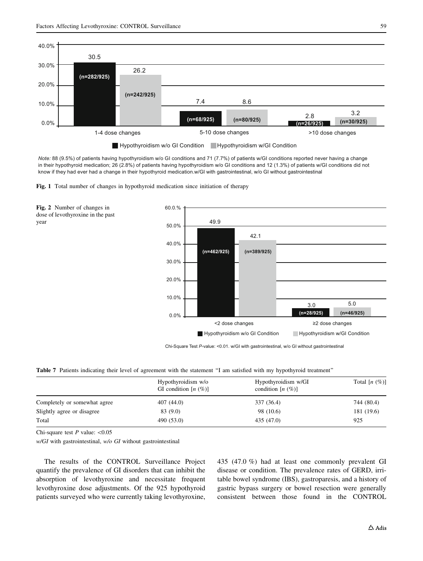<span id="page-6-0"></span>

*Note:* 88 (9.5%) of patients having hypothyroidism w/o GI conditions and 71 (7.7%) of patients w/GI conditions reported never having a change in their hypothyroid medication; 26 (2.8%) of patients having hypothyroidism w/o GI conditions and 12 (1.3%) of patients w/GI conditions did not know if they had ever had a change in their hypothyroid medication.w/GI with gastrointestinal, w/o GI without gastrointestinal





Chi-Square Test *P*-value: <0.01. w/GI with gastrointestinal, w/o GI without gastrointestinal

Table 7 Patients indicating their level of agreement with the statement "I am satisfied with my hypothyroid treatment"

|                              | Hypothyroidism w/o<br>GI condition $[n (\%)]$ | Hypothyroidism w/GI<br>condition $[n \ (\%)]$ | Total $[n \ (\%)]$ |  |
|------------------------------|-----------------------------------------------|-----------------------------------------------|--------------------|--|
| Completely or somewhat agree | 407 (44.0)                                    | 337 (36.4)                                    | 744 (80.4)         |  |
| Slightly agree or disagree   | 83 (9.0)                                      | 98 (10.6)                                     | 181 (19.6)         |  |
| Total                        | 490 (53.0)                                    | 435 (47.0)                                    | 925                |  |

Chi-square test  $P$  value:  $\langle 0.05$ 

year

w/GI with gastrointestinal, w/o GI without gastrointestinal

The results of the CONTROL Surveillance Project quantify the prevalence of GI disorders that can inhibit the absorption of levothyroxine and necessitate frequent levothyroxine dose adjustments. Of the 925 hypothyroid patients surveyed who were currently taking levothyroxine, 435 (47.0 %) had at least one commonly prevalent GI disease or condition. The prevalence rates of GERD, irritable bowel syndrome (IBS), gastroparesis, and a history of gastric bypass surgery or bowel resection were generally consistent between those found in the CONTROL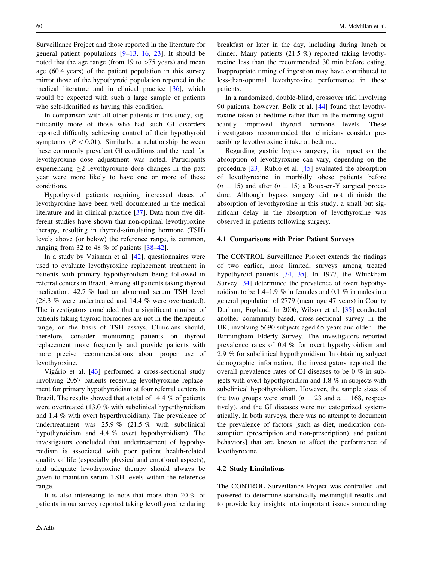Surveillance Project and those reported in the literature for general patient populations [\[9–13](#page-14-0), [16](#page-14-0), [23\]](#page-14-0). It should be noted that the age range (from 19 to  $>75$  years) and mean age (60.4 years) of the patient population in this survey mirror those of the hypothyroid population reported in the medical literature and in clinical practice [[36\]](#page-14-0), which would be expected with such a large sample of patients who self-identified as having this condition.

In comparison with all other patients in this study, significantly more of those who had such GI disorders reported difficulty achieving control of their hypothyroid symptoms ( $P < 0.01$ ). Similarly, a relationship between these commonly prevalent GI conditions and the need for levothyroxine dose adjustment was noted. Participants experiencing  $\geq 2$  levothyroxine dose changes in the past year were more likely to have one or more of these conditions.

Hypothyroid patients requiring increased doses of levothyroxine have been well documented in the medical literature and in clinical practice [[37\]](#page-14-0). Data from five different studies have shown that non-optimal levothyroxine therapy, resulting in thyroid-stimulating hormone (TSH) levels above (or below) the reference range, is common, ranging from 32 to 48 % of patients [\[38](#page-14-0)[–42](#page-15-0)].

In a study by Vaisman et al. [[42\]](#page-15-0), questionnaires were used to evaluate levothyroxine replacement treatment in patients with primary hypothyroidism being followed in referral centers in Brazil. Among all patients taking thyroid medication, 42.7 % had an abnormal serum TSH level (28.3 % were undertreated and 14.4 % were overtreated). The investigators concluded that a significant number of patients taking thyroid hormones are not in the therapeutic range, on the basis of TSH assays. Clinicians should, therefore, consider monitoring patients on thyroid replacement more frequently and provide patients with more precise recommendations about proper use of levothyroxine.

Vigário et al. [\[43](#page-15-0)] performed a cross-sectional study involving 2057 patients receiving levothyroxine replacement for primary hypothyroidism at four referral centers in Brazil. The results showed that a total of 14.4 % of patients were overtreated (13.0 % with subclinical hyperthyroidism and 1.4 % with overt hyperthyroidism). The prevalence of undertreatment was 25.9 % (21.5 % with subclinical hypothyroidism and 4.4 % overt hypothyroidism). The investigators concluded that undertreatment of hypothyroidism is associated with poor patient health-related quality of life (especially physical and emotional aspects), and adequate levothyroxine therapy should always be given to maintain serum TSH levels within the reference range.

It is also interesting to note that more than 20 % of patients in our survey reported taking levothyroxine during breakfast or later in the day, including during lunch or dinner. Many patients (21.5 %) reported taking levothyroxine less than the recommended 30 min before eating. Inappropriate timing of ingestion may have contributed to less-than-optimal levothyroxine performance in these patients.

In a randomized, double-blind, crossover trial involving 90 patients, however, Bolk et al. [\[44](#page-15-0)] found that levothyroxine taken at bedtime rather than in the morning significantly improved thyroid hormone levels. These investigators recommended that clinicians consider prescribing levothyroxine intake at bedtime.

Regarding gastric bypass surgery, its impact on the absorption of levothyroxine can vary, depending on the procedure [[23\]](#page-14-0). Rubio et al. [[45](#page-15-0)] evaluated the absorption of levothyroxine in morbidly obese patients before  $(n = 15)$  and after  $(n = 15)$  a Roux-en-Y surgical procedure. Although bypass surgery did not diminish the absorption of levothyroxine in this study, a small but significant delay in the absorption of levothyroxine was observed in patients following surgery.

### 4.1 Comparisons with Prior Patient Surveys

The CONTROL Surveillance Project extends the findings of two earlier, more limited, surveys among treated hypothyroid patients [[34,](#page-14-0) [35\]](#page-14-0). In 1977, the Whickham Survey [[34\]](#page-14-0) determined the prevalence of overt hypothyroidism to be 1.4–1.9 % in females and 0.1 % in males in a general population of 2779 (mean age 47 years) in County Durham, England. In 2006, Wilson et al. [[35\]](#page-14-0) conducted another community-based, cross-sectional survey in the UK, involving 5690 subjects aged 65 years and older—the Birmingham Elderly Survey. The investigators reported prevalence rates of 0.4 % for overt hypothyroidism and 2.9 % for subclinical hypothyroidism. In obtaining subject demographic information, the investigators reported the overall prevalence rates of GI diseases to be 0 % in subjects with overt hypothyroidism and 1.8 % in subjects with subclinical hypothyroidism. However, the sample sizes of the two groups were small ( $n = 23$  and  $n = 168$ , respectively), and the GI diseases were not categorized systematically. In both surveys, there was no attempt to document the prevalence of factors [such as diet, medication consumption (prescription and non-prescription), and patient behaviors] that are known to affect the performance of levothyroxine.

### 4.2 Study Limitations

The CONTROL Surveillance Project was controlled and powered to determine statistically meaningful results and to provide key insights into important issues surrounding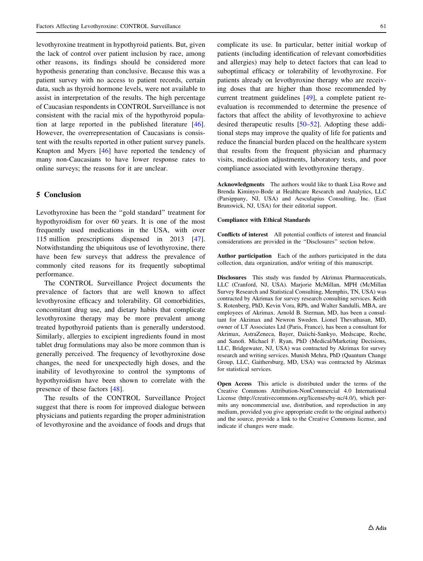levothyroxine treatment in hypothyroid patients. But, given the lack of control over patient inclusion by race, among other reasons, its findings should be considered more hypothesis generating than conclusive. Because this was a patient survey with no access to patient records, certain data, such as thyroid hormone levels, were not available to assist in interpretation of the results. The high percentage of Caucasian respondents in CONTROL Surveillance is not consistent with the racial mix of the hypothyroid population at large reported in the published literature [\[46](#page-15-0)]. However, the overrepresentation of Caucasians is consistent with the results reported in other patient survey panels. Knapton and Myers [[46\]](#page-15-0) have reported the tendency of many non-Caucasians to have lower response rates to online surveys; the reasons for it are unclear.

# 5 Conclusion

Levothyroxine has been the ''gold standard'' treatment for hypothyroidism for over 60 years. It is one of the most frequently used medications in the USA, with over 115 million prescriptions dispensed in 2013 [\[47](#page-15-0)]. Notwithstanding the ubiquitous use of levothyroxine, there have been few surveys that address the prevalence of commonly cited reasons for its frequently suboptimal performance.

The CONTROL Surveillance Project documents the prevalence of factors that are well known to affect levothyroxine efficacy and tolerability. GI comorbidities, concomitant drug use, and dietary habits that complicate levothyroxine therapy may be more prevalent among treated hypothyroid patients than is generally understood. Similarly, allergies to excipient ingredients found in most tablet drug formulations may also be more common than is generally perceived. The frequency of levothyroxine dose changes, the need for unexpectedly high doses, and the inability of levothyroxine to control the symptoms of hypothyroidism have been shown to correlate with the presence of these factors [[48\]](#page-15-0).

The results of the CONTROL Surveillance Project suggest that there is room for improved dialogue between physicians and patients regarding the proper administration of levothyroxine and the avoidance of foods and drugs that complicate its use. In particular, better initial workup of patients (including identification of relevant comorbidities and allergies) may help to detect factors that can lead to suboptimal efficacy or tolerability of levothyroxine. For patients already on levothyroxine therapy who are receiving doses that are higher than those recommended by current treatment guidelines [[49\]](#page-15-0), a complete patient reevaluation is recommended to determine the presence of factors that affect the ability of levothyroxine to achieve desired therapeutic results [[50–52\]](#page-15-0). Adopting these additional steps may improve the quality of life for patients and reduce the financial burden placed on the healthcare system that results from the frequent physician and pharmacy visits, medication adjustments, laboratory tests, and poor compliance associated with levothyroxine therapy.

Acknowledgments The authors would like to thank Lisa Rowe and Brenda Kiminyo-Bode at Healthcare Research and Analytics, LLC (Parsippany, NJ, USA) and Aesculapius Consulting, Inc. (East Brunswick, NJ, USA) for their editorial support.

#### Compliance with Ethical Standards

Conflicts of interest All potential conflicts of interest and financial considerations are provided in the ''Disclosures'' section below.

Author participation Each of the authors participated in the data collection, data organization, and/or writing of this manuscript.

Disclosures This study was funded by Akrimax Pharmaceuticals, LLC (Cranford, NJ, USA). Marjorie McMillan, MPH (McMillan Survey Research and Statistical Consulting, Memphis, TN, USA) was contracted by Akrimax for survey research consulting services. Keith S. Rotenberg, PhD, Kevin Vora, RPh, and Walter Sandulli, MBA, are employees of Akrimax. Arnold B. Sterman, MD, has been a consultant for Akrimax and Newron Sweden. Lionel Thevathasan, MD, owner of LT Associates Ltd (Paris, France), has been a consultant for Akrimax, AstraZeneca, Bayer, Daiichi-Sankyo, Medscape, Roche, and Sanofi. Michael F. Ryan, PhD (Medical/Marketing Decisions, LLC, Bridgewater, NJ, USA) was contracted by Akrimax for survey research and writing services. Munish Mehra, PhD (Quantum Change Group, LLC, Gaithersburg, MD, USA) was contracted by Akrimax for statistical services.

Open Access This article is distributed under the terms of the Creative Commons Attribution-NonCommercial 4.0 International License (http://creativecommons.org/licenses/by-nc/4.0/), which permits any noncommercial use, distribution, and reproduction in any medium, provided you give appropriate credit to the original author(s) and the source, provide a link to the Creative Commons license, and indicate if changes were made.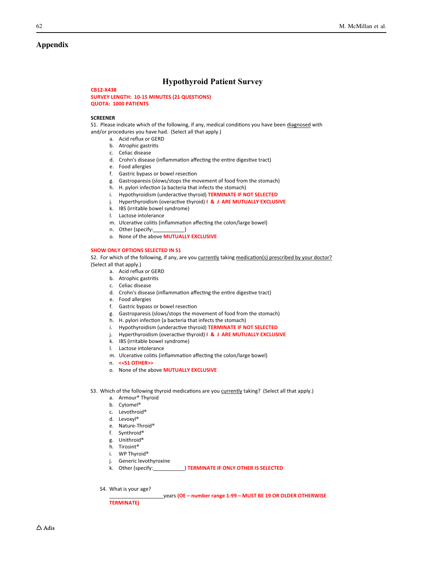# <span id="page-9-0"></span>Appendix

# **Hypothyroid Patient Survey**

### **CB12-X438**

**SURVEY LENGTH: 10-15 MINUTES (21 QUESTIONS) QUOTA: 1000 PATIENTS**

#### **SCREENER**

S1. Please indicate which of the following, if any, medical conditions you have been diagnosed with and/or procedures you have had. (Select all that apply.)

- a. Acid reflux or GERD
- b. Atrophic gastritis
- c. Celiac disease
- d. Crohn's disease (inflammation affecting the entire digestive tract)
- e. Food allergies
- f. Gastric bypass or bowel resection
- g. Gastroparesis (slows/stops the movement of food from the stomach)
- h. H. pylori infection (a bacteria that infects the stomach)
- i. Hypothyroidism (underactive thyroid) TERMINATE IF NOT SELECTED
- j. Hyperthyroidism (overactive thyroid) **I & J ARE MUTUALLY EXCLUSIVE**
- k. IBS (irritable bowel syndrome)
- l. Lactose intolerance
- m. Ulcerative colitis (inflammation affecting the colon/large bowel)
- n. Other (specify:\_\_\_\_\_\_\_\_\_\_\_)
- o. None of the above **MUTUALLY EXCLUSIVE**

### **SHOW ONLY OPTIONS SELECTED IN S1**

S2. For which of the following, if any, are you currently taking medication(s) prescribed by your doctor? (Select all that apply.)

- a. Acid reflux or GERD
- b. Atrophic gastritis
- c. Celiac disease
- d. Crohn's disease (inflammation affecting the entire digestive tract)
- e. Food allergies
- f. Gastric bypass or bowel resection
- g. Gastroparesis (slows/stops the movement of food from the stomach)
- h. H. pylori infection (a bacteria that infects the stomach)
- i. Hypothyroidism (underactive thyroid) TERMINATE IF NOT SELECTED
- j. Hyperthyroidism (overactive thyroid) **I & J ARE MUTUALLY EXCLUSIVE**
- k. IBS (irritable bowel syndrome)
- l. Lactose intolerance
- m. Ulcerative colitis (inflammation affecting the colon/large bowel)
- n. **<<S1 OTHER>>**
- o. None of the above **MUTUALLY EXCLUSIVE**
- S3. Which of the following thyroid medications are you currently taking? (Select all that apply.)
	- a. Armour® Thyroid
	- b. Cytomel®
	- c. Levothroid®
	- d. Levoxyl®
	- e. Nature-Throid®
	- f. Synthroid®
	- g. Unithroid®
	- h. Tirosint®
	- i. WP Thyroid®
	- j. Generic levothyroxine
	- k. Other (specify:\_\_\_\_\_\_\_\_\_\_\_) **TERMINATE IF ONLY OTHER IS SELECTED**
	- S4. What is your age?

#### \_\_\_\_\_\_\_\_\_\_\_\_\_\_\_\_\_\_\_years **(OE – number range 1-99 – MUST BE 19 OR OLDER OTHERWISE**

**TERMINATE)**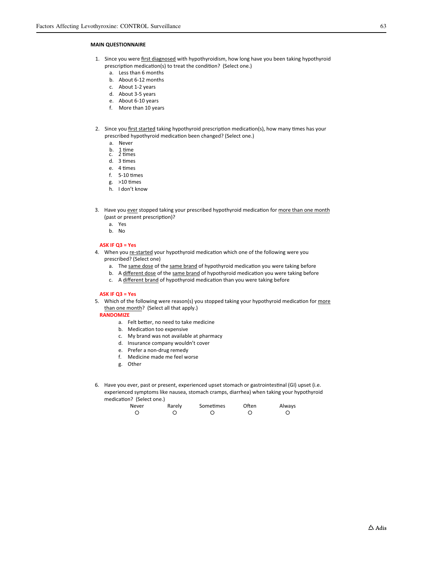#### **MAIN QUESTIONNAIRE**

- 1. Since you were first diagnosed with hypothyroidism, how long have you been taking hypothyroid prescription medication(s) to treat the condition? (Select one.)
	- a. Less than 6 months
	- b. About 6-12 months
	- c. About 1-2 years
	- d. About 3-5 years
	- e. About 6-10 years
	- f. More than 10 years
- 2. Since you first started taking hypothyroid prescription medication(s), how many times has your prescribed hypothyroid medication been changed? (Select one.)
	- a. Never
	- b. 1 time<br>c. 2 times
	-
	- d. 3 times
	- e. 4 times  $f.$  5-10 times
	- g. > 10 times
	- h. I don't know
- 3. Have you ever stopped taking your prescribed hypothyroid medication for more than one month (past or present prescription)?
	- a. Yes
	- b. No

#### **ASK IF Q3 = Yes**

- 4. When you re-started your hypothyroid medication which one of the following were you prescribed? (Select one)
	- a. The same dose of the same brand of hypothyroid medication you were taking before
	- b. A different dose of the same brand of hypothyroid medication you were taking before
	- c. A different brand of hypothyroid medication than you were taking before

#### **ASK IF Q3 = Yes**

5. Which of the following were reason(s) you stopped taking your hypothyroid medication for more than one month? (Select all that apply.)

**RANDOMIZE**

- a. Felt better, no need to take medicine
- b. Medication too expensive
- c. My brand was not available at pharmacy
- d. Insurance company wouldn't cover
- e. Prefer a non-drug remedy
- f. Medicine made me feel worse
- g. Other
- 6. Have you ever, past or present, experienced upset stomach or gastrointestinal (GI) upset (i.e. experienced symptoms like nausea, stomach cramps, diarrhea) when taking your hypothyroid medication? (Select one.)

| Never | Rarely | Sometimes | Often | Always |
|-------|--------|-----------|-------|--------|
|       |        |           |       |        |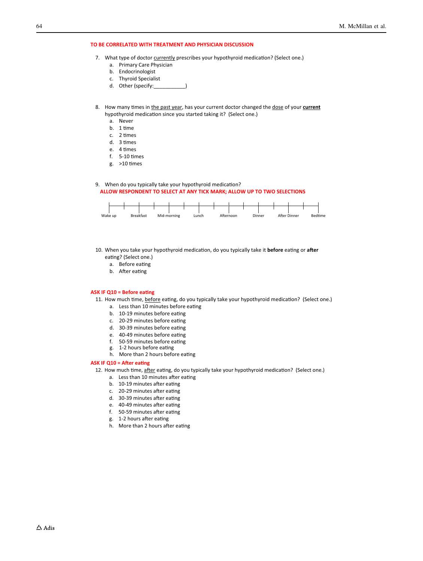#### **TO BE CORRELATED WITH TREATMENT AND PHYSICIAN DISCUSSION**

- 7. What type of doctor currently prescribes your hypothyroid medication? (Select one.)
	- a. Primary Care Physician
	- b. Endocrinologist
	- c. Thyroid Specialist
	- d. Other (specify:
- 8. How many times in the past year, has your current doctor changed the dose of your **current** hypothyroid medication since you started taking it? (Select one.)
	- a. Never
	- b. 1 time
	- c. 2 times
	- d. 3 times
	- e. 4 times
	- $f.$  5-10 times
	- g. > 10 times

#### 9. When do you typically take your hypothyroid medication? **ALLOW RESPONDENT TO SELECT AT ANY TICK MARK; ALLOW UP TO TWO SELECTIONS**



- 10. When you take your hypothyroid medication, do you typically take it before eating or after eating? (Select one.)
	- a. Before eating
	- b. After eating

#### **ASK IF Q10 = Before eating**

- 11. How much time, before eating, do you typically take your hypothyroid medication? (Select one.)
	- a. Less than 10 minutes before eating
	- b. 10-19 minutes before eating
	- c. 20-29 minutes before eating
	- d. 30-39 minutes before eating
	- e. 40-49 minutes before eating
	- f. 50-59 minutes before eating
	- g. 1-2 hours before eating
	- h. More than 2 hours before eating

#### **ASK IF Q10 = After eating**

12. How much time, after eating, do you typically take your hypothyroid medication? (Select one.)

- a. Less than 10 minutes after eating
- b. 10-19 minutes after eating
- c. 20-29 minutes after eating
- d. 30-39 minutes after eating
- e. 40-49 minutes after eating
- f. 50-59 minutes after eating
- g. 1-2 hours after eating
- h. More than 2 hours after eating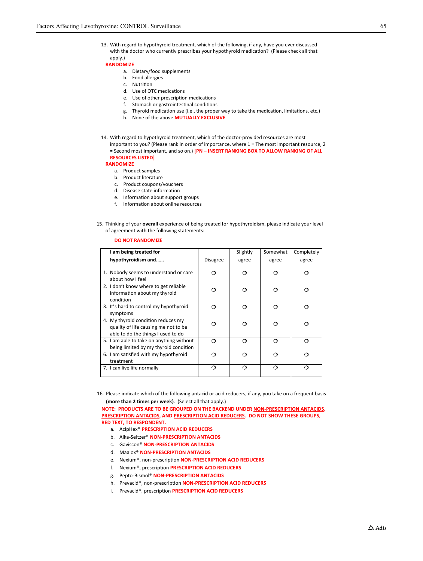13. With regard to hypothyroid treatment, which of the following, if any, have you ever discussed with the doctor who currently prescribes your hypothyroid medication? (Please check all that apply.)

**RANDOMIZE**

- a. Dietary/food supplements
- b. Food allergies
- c. Nutrition
- d. Use of OTC medications
- e. Use of other prescription medications
- f. Stomach or gastrointestinal conditions
- g. Thyroid medication use (i.e., the proper way to take the medication, limitations, etc.)
- h. None of the above **MUTUALLY EXCLUSIVE**
- 14. With regard to hypothyroid treatment, which of the doctor-provided resources are most
	- important to you? (Please rank in order of importance, where 1 = The most important resource, 2 = Second most important, and so on.) **[PN – INSERT RANKING BOX TO ALLOW RANKING OF ALL RESOURCES LISTED]**

#### **RANDOMIZE**

- a. Product samples
- b. Product literature
- c. Product coupons/vouchers
- d. Disease state information
- e. Information about support groups
- f. Information about online resources
- 15. Thinking of your **overall** experience of being treated for hypothyroidism, please indicate your level of agreement with the following statements:

#### **DO NOT RANDOMIZE**

| I am being treated for                                                                                           |                 | Slightly | Somewhat | Completely |
|------------------------------------------------------------------------------------------------------------------|-----------------|----------|----------|------------|
| hypothyroidism and                                                                                               | <b>Disagree</b> | agree    | agree    | agree      |
| 1. Nobody seems to understand or care<br>about how I feel                                                        | ∩               | റ        | ∩        | ◠          |
| 2. I don't know where to get reliable<br>information about my thyroid<br>condition                               | ∩               | ∩        | 0        |            |
| 3. It's hard to control my hypothyroid<br>symptoms                                                               | ⌒               | ∩        | ∩        | ∩          |
| 4. My thyroid condition reduces my<br>quality of life causing me not to be<br>able to do the things I used to do | ∩               | റ        |          |            |
| 5. I am able to take on anything without<br>being limited by my thyroid condition                                | ⌒               | റ        | ⌒        |            |
| 6. I am satisfied with my hypothyroid<br>treatment                                                               | ⌒               | റ        |          |            |
| 7. I can live life normally                                                                                      | റ               | റ        | റ        |            |

16. Please indicate which of the following antacid or acid reducers, if any, you take on a frequent basis (more than 2 times per week). (Select all that apply.)

**NOTE: PRODUCTS ARE TO BE GROUPED ON THE BACKEND UNDER NON-PRESCRIPTION ANTACIDS, PRESCRIPTION ANTACIDS, AND PRESCRIPTION ACID REDUCERS. DO NOT SHOW THESE GROUPS, RED TEXT, TO RESPONDENT.**

- a. AcipHex® **PRESCRIPTION ACID REDUCERS**
- b. Alka-Seltzer® **NON-PRESCRIPTION ANTACIDS**
- c. Gaviscon® **NON-PRESCRIPTION ANTACIDS**
- d. Maalox® **NON-PRESCRIPTION ANTACIDS**
- e. Nexium®, non-prescription **NON-PRESCRIPTION ACID REDUCERS**
- f. Nexium®, prescription PRESCRIPTION ACID REDUCERS
- g. Pepto-Bismol® **NON-PRESCRIPTION ANTACIDS**
- h. Prevacid®, non-prescription **NON-PRESCRIPTION ACID REDUCERS**
- i. Prevacid®, prescription **PRESCRIPTION ACID REDUCERS**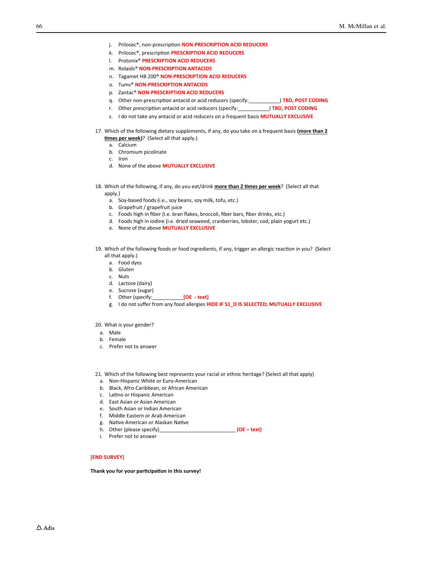- j. Prilosec®, non-prescription **NON-PRESCRIPTION ACID REDUCERS**
- k. Prilosec®, prescription PRESCRIPTION ACID REDUCERS
- l. Protonix® **PRESCRIPTION ACID REDUCERS**
- m. Rolaids® **NON-PRESCRIPTION ANTACIDS**
- n. Tagamet HB 200® **NON-PRESCRIPTION ACID REDUCERS**
- o. Tums® **NON-PRESCRIPTION ANTACIDS**
- p. Zantac® **NON-PRESCRIPTION ACID REDUCERS**
- q. Other non-prescription antacid or acid reducers (specify: **We can construent) TBD, POST CODING**
- r. Other prescription antacid or acid reducers (specify:\_\_\_\_\_\_\_\_\_\_\_\_\_) **TBD, POST CODING**
- s. I do not take any antacid or acid reducers on a frequent basis **MUTUALLY EXCLUSIVE**
- 17. Which of the following dietary supplements, if any, do you take on a frequent basis **(more than 2 times per week)**? (Select all that apply.)
	- a. Calcium b. Chromium picolinate
	- c. Iron
	- d. None of the above **MUTUALLY EXCLUSIVE**
- 18. Which of the following, if any, do you eat/drink **more than 2 times per week**? (Select all that apply.)
	- a. Soy-based foods (i.e., soy beans, soy milk, tofu, etc.)
	- b. Grapefruit / grapefruit juice
	- c. Foods high in fiber (i.e. bran flakes, broccoli, fiber bars, fiber drinks, etc.)
	- d. Foods high in iodine (i.e. dried seaweed, cranberries, lobster, cod, plain yogurt etc.)
	- e. None of the above **MUTUALLY EXCLUSIVE**
- 19. Which of the following foods or food ingredients, if any, trigger an allergic reaction in you? (Select all that apply.)
	- a. Food dyes
	- b. Gluten
	- c. Nuts
	- d. Lactose (dairy)
	- e. Sucrose (sugar)
	- f. Other (specify:\_\_\_\_\_\_\_\_\_\_\_**[OE text]**
	- g. I do not suffer from any food allergies **HIDE IF S1\_D IS SELECTED; MUTUALLY EXCLUSIVE**

20. What is your gender?

- a. Male
- b. Female
- c. Prefer not to answer
- 21. Which of the following best represents your racial or ethnic heritage? (Select all that apply)
	- a. Non-Hispanic White or Euro-American
	- b. Black, Afro-Caribbean, or African American
	- c. Latino or Hispanic American
	- d. East Asian or Asian American
	- e. South Asian or Indian American
	- f. Middle Eastern or Arab American
	- g. Native American or Alaskan Native
	- h. Other (please specify)\_\_\_\_\_\_\_\_\_\_\_\_\_\_\_\_\_\_\_\_\_\_\_\_\_\_\_ **(OE text)**
	- i. Prefer not to answer

**[END SURVEY]**

Thank you for your participation in this survey!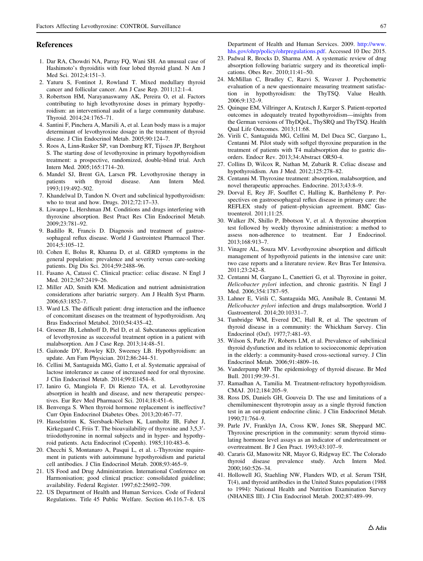#### <span id="page-14-0"></span>References

- 1. Dar RA, Chowdri NA, Parray FQ, Wani SH. An unusual case of Hashimoto's thyroiditis with four lobed thyroid gland. N Am J Med Sci. 2012;4:151–3.
- 2. Yaturu S, Fontinot J, Rowland T. Mixed medullary thyroid cancer and follicular cancer. Am J Case Rep. 2011;12:1–4.
- 3. Robertson HM, Narayanaswamy AK, Pereira O, et al. Factors contributing to high levothyroxine doses in primary hypothyroidism: an interventional audit of a large community database. Thyroid. 2014;24:1765–71.
- 4. Santini F, Pinchera A, Marsili A, et al. Lean body mass is a major determinant of levothyroxine dosage in the treatment of thyroid disease. J Clin Endocrinol Metab. 2005;90:124–7.
- 5. Roos A, Linn-Rasker SP, van Domburg RT, Tijssen JP, Berghout S. The starting dose of levothyroxine in primary hypothyroidism treatment: a prospective, randomized, double-blind trial. Arch Intern Med. 2005;165:1714–20.
- 6. Mandel SJ, Brent GA, Larscn PR. Levothyroxine therapy in patients with thyroid disease. Ann Intern Med. 1993;119:492–502.
- 7. Khandelwal D, Tandon N. Overt and subclinical hypothyroidism: who to treat and how. Drugs. 2012;72:17–33.
- 8. Liwanpo L, Hershman JM. Conditions and drugs interfering with thyroxine absorption. Best Pract Res Clin Endocrinol Metab. 2009;23:781–92.
- 9. Badillo R, Francis D. Diagnosis and treatment of gastroesophageal reflux disease. World J Gastrointest Pharmacol Ther. 2014;5:105–12.
- 10. Cohen E, Bolus R, Khanna D, et al. GERD symptoms in the general population: prevalence and severity versus care-seeking patients. Dig Dis Sci. 2014;59:2488–96.
- 11. Fasano A, Catassi C. Clinical practice: celiac disease. N Engl J Med. 2012;367:2419–26.
- 12. Miller AD, Smith KM. Medication and nutrient administration considerations after bariatric surgery. Am J Health Syst Pharm. 2006;63:1852–7.
- 13. Ward LS. The difficult patient: drug interaction and the influence of concomitant diseases on the treatment of hypothyroidism. Arq Bras Endocrinol Metabol. 2010;54:435–42.
- 14. Groener JB, Lehnhoff D, Piel D, et al. Subcutaneous application of levothyroxine as successful treatment option in a patient with malabsorption. Am J Case Rep. 2013;14:48–51.
- 15. Gaitonde DY, Rowley KD, Sweeney LB. Hypothyroidism: an update. Am Fam Physician. 2012;86:244–51.
- 16. Cellini M, Santaguida MG, Gatto I, et al. Systematic appraisal of lactose intolerance as cause of increased need for oral thyroxine. J Clin Endocrinol Metab. 2014;99:E1454–8.
- 17. Ianiro G, Mangiola F, Di Rienzo TA, et al. Levothyroxine absorption in health and disease, and new therapeutic perspectives. Eur Rev Med Pharmacol Sci. 2014;18:451–6.
- 18. Benvenga S. When thyroid hormone replacement is ineffective? Curr Opin Endocrinol Diabetes Obes. 2013;20:467–77.
- 19. Hasselström K, Siersbaek-Nielsen K, Lumholtz IB, Faber J, Kirkegaard C, Friis T. The bioavailability of thyroxine and 3,5,3'triiodothyronine in normal subjects and in hyper- and hypothyroid patients. Acta Endocrinol (Copenh). 1985;110:483–6.
- 20. Checchi S, Montanaro A, Pasqui L, et al. L-Thyroxine requirement in patients with autoimmune hypothyroidism and parietal cell antibodies. J Clin Endocrinol Metab. 2008;93:465–9.
- 21. US Food and Drug Administration. International Conference on Harmonisation; good clinical practice: consolidated guideline; availability. Federal Register. 1997;62:25692–709.
- 22. US Department of Health and Human Services. Code of Federal Regulations. Title 45 Public Welfare. Section 46.116.7–8. US

Department of Health and Human Services. 2009. [http://www.](http://www.hhs.gov/ohrp/policy/ohrpregulations.pdf) [hhs.gov/ohrp/policy/ohrpregulations.pdf.](http://www.hhs.gov/ohrp/policy/ohrpregulations.pdf) Accessed 10 Dec 2015.

- 23. Padwal R, Brocks D, Sharma AM. A systematic review of drug absorption following bariatric surgery and its theoretical implications. Obes Rev. 2010;11:41–50.
- 24. McMillan C, Bradley C, Razvi S, Weaver J. Psychometric evaluation of a new questionnaire measuring treatment satisfaction in hypothyroidism: the ThyTSQ. Value Health. 2006;9:132–9.
- 25. Quinque EM, Villringer A, Kratzsch J, Karger S. Patient-reported outcomes in adequately treated hypothyroidism—insights from the German versions of ThyDQoL, ThySRQ and ThyTSQ. Health Qual Life Outcomes. 2013;11:68.
- 26. Virili C, Santaguida MG, Cellini M, Del Duca SC, Gargano L, Centanni M. Pilot study with softgel thyroxine preparation in the treatment of patients with T4 malabsorption due to gastric disorders. Endocr Rev. 2013;34:Abstract OR50-4.
- 27. Collins D, Wilcox R, Nathan M, Zubarik R. Celiac disease and hypothyroidism. Am J Med. 2012;125:278–82.
- 28. Centanni M. Thyroxine treatment: absorption, malabsorption, and novel therapeutic approaches. Endocrine. 2013;43:8–9.
- 29. Dorval E, Rey JF, Soufflet C, Halling K, Barthélemy P. Perspectives on gastroesophageal reflux disease in primary care: the REFLEX study of patient–physician agreement. BMC Gastroenterol. 2011;11:25.
- 30. Walker JN, Shillo P, Ibbotson V, et al. A thyroxine absorption test followed by weekly thyroxine administration: a method to assess non-adherence to treatment. Eur J Endocrinol. 2013;168:913–7.
- 31. Vinagre AL, Souza MV. Levothyroxine absorption and difficult management of hypothyroid patients in the intensive care unit: two case reports and a literature review. Rev Bras Ter Intensiva. 2011;23:242–8.
- 32. Centanni M, Gargano L, Canettieri G, et al. Thyroxine in goiter, Helicobacter pylori infection, and chronic gastritis. N Engl J Med. 2006;354:1787–95.
- 33. Lahner E, Virili C, Santaguida MG, Annibale B, Centanni M. Helicobacter pylori infection and drugs malabsorption. World J Gastroenterol. 2014;20:10331–7.
- 34. Tunbridge WM, Evered DC, Hall R, et al. The spectrum of thyroid disease in a community: the Whickham Survey. Clin Endocrinol (Oxf). 1977;7:481–93.
- 35. Wilson S, Parle JV, Roberts LM, et al. Prevalence of subclinical thyroid dysfunction and its relation to socioeconomic deprivation in the elderly: a community-based cross-sectional survey. J Clin Endocrinol Metab. 2006;91:4809–16.
- 36. Vanderpump MP. The epidemiology of thyroid disease. Br Med Bull. 2011;99:39–51.
- 37. Ramadhan A, Tamilia M. Treatment-refractory hypothyroidism. CMAJ. 2012;184:205–9.
- 38. Ross DS, Daniels GH, Gouveia D. The use and limitations of a chemiluminescent thyrotropin assay as a single thyroid function test in an out-patient endocrine clinic. J Clin Endocrinol Metab. 1990;71:764–9.
- 39. Parle JV, Franklyn JA, Cross KW, Jones SR, Sheppard MC. Thyroxine prescription in the community: serum thyroid stimulating hormone level assays as an indicator of undertreatment or overtreatment. Br J Gen Pract. 1993;43:107–9.
- 40. Cararis GJ, Manowitz NR, Mayor G, Ridgway EC. The Colorado thyroid disease prevalence study. Arch Intern Med. 2000;160:526–34.
- 41. Hollowell JG, Staehling NW, Flanders WD, et al. Serum TSH, T(4), and thyroid antibodies in the United States population (1988 to 1994): National Health and Nutrition Examination Survey (NHANES III). J Clin Endocrinol Metab. 2002;87:489–99.